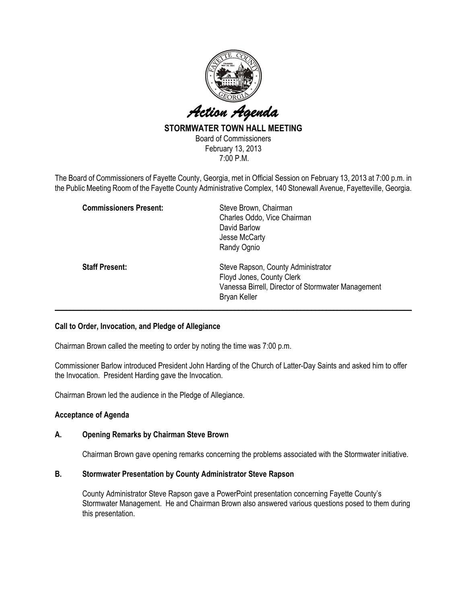

# STORMWATER TOWN HALL MEETING

Board of Commissioners February 13, 2013 7:00 P.M.

The Board of Commissioners of Fayette County, Georgia, met in Official Session on February 13, 2013 at 7:00 p.m. in the Public Meeting Room of the Fayette County Administrative Complex, 140 Stonewall Avenue, Fayetteville, Georgia.

| <b>Commissioners Present:</b> | Steve Brown, Chairman<br>Charles Oddo, Vice Chairman<br>David Barlow<br>Jesse McCarty<br>Randy Ognio                                  |
|-------------------------------|---------------------------------------------------------------------------------------------------------------------------------------|
| <b>Staff Present:</b>         | Steve Rapson, County Administrator<br>Floyd Jones, County Clerk<br>Vanessa Birrell, Director of Stormwater Management<br>Bryan Keller |

## Call to Order, Invocation, and Pledge of Allegiance

Chairman Brown called the meeting to order by noting the time was 7:00 p.m.

Commissioner Barlow introduced President John Harding of the Church of Latter-Day Saints and asked him to offer the Invocation. President Harding gave the Invocation.

Chairman Brown led the audience in the Pledge of Allegiance.

## Acceptance of Agenda

## A. Opening Remarks by Chairman Steve Brown

Chairman Brown gave opening remarks concerning the problems associated with the Stormwater initiative.

## B. Stormwater Presentation by County Administrator Steve Rapson

County Administrator Steve Rapson gave a PowerPoint presentation concerning Fayette County's Stormwater Management. He and Chairman Brown also answered various questions posed to them during this presentation.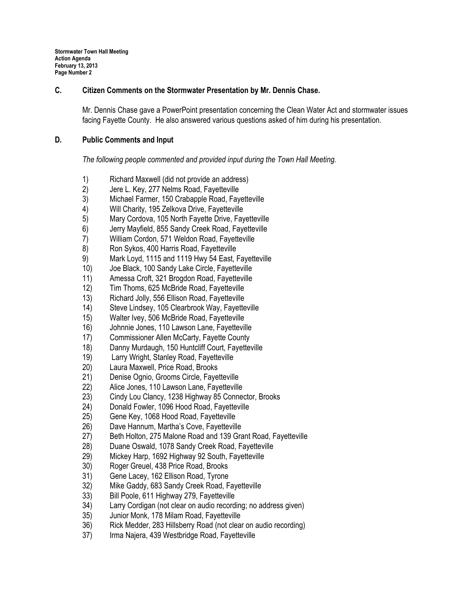## C. Citizen Comments on the Stormwater Presentation by Mr. Dennis Chase.

Mr. Dennis Chase gave a PowerPoint presentation concerning the Clean Water Act and stormwater issues facing Fayette County. He also answered various questions asked of him during his presentation.

## D. Public Comments and Input

The following people commented and provided input during the Town Hall Meeting.

- 1) Richard Maxwell (did not provide an address)<br>2) Jere L. Key, 277 Nelms Road, Fayetteville
- 2) Jere L. Key, 277 Nelms Road, Fayetteville
- 3) Michael Farmer, 150 Crabapple Road, Fayetteville
- 4) Will Charity, 195 Zelkova Drive, Fayetteville
- 5) Mary Cordova, 105 North Fayette Drive, Fayetteville
- 6) Jerry Mayfield, 855 Sandy Creek Road, Fayetteville
- 7) William Cordon, 571 Weldon Road, Fayetteville
- 8) Ron Sykos, 400 Harris Road, Fayetteville
- 9) Mark Loyd, 1115 and 1119 Hwy 54 East, Fayetteville
- 10) Joe Black, 100 Sandy Lake Circle, Fayetteville
- 11) Amessa Croft, 321 Brogdon Road, Fayetteville
- 12) Tim Thoms, 625 McBride Road, Fayetteville
- 13) Richard Jolly, 556 Ellison Road, Fayetteville
- 14) Steve Lindsey, 105 Clearbrook Way, Fayetteville
- 15) Walter Ivey, 506 McBride Road, Fayetteville
- 16) Johnnie Jones, 110 Lawson Lane, Fayetteville
- 17) Commissioner Allen McCarty, Fayette County
- 18) Danny Murdaugh, 150 Huntcliff Court, Fayetteville
- 19) Larry Wright, Stanley Road, Fayetteville
- 20) Laura Maxwell, Price Road, Brooks
- 21) Denise Ognio, Grooms Circle, Fayetteville
- 22) Alice Jones, 110 Lawson Lane, Fayetteville
- 23) Cindy Lou Clancy, 1238 Highway 85 Connector, Brooks
- 24) Donald Fowler, 1096 Hood Road, Fayetteville
- 25) Gene Key, 1068 Hood Road, Fayetteville
- 26) Dave Hannum, Martha's Cove, Fayetteville
- 27) Beth Holton, 275 Malone Road and 139 Grant Road, Fayetteville
- 28) Duane Oswald, 1078 Sandy Creek Road, Fayetteville
- 29) Mickey Harp, 1692 Highway 92 South, Fayetteville
- 30) Roger Greuel, 438 Price Road, Brooks
- 31) Gene Lacey, 162 Ellison Road, Tyrone
- 32) Mike Gaddy, 683 Sandy Creek Road, Fayetteville
- 33) Bill Poole, 611 Highway 279, Fayetteville
- 34) Larry Cordigan (not clear on audio recording; no address given)
- 35) Junior Monk, 178 Milam Road, Fayetteville
- 36) Rick Medder, 283 Hillsberry Road (not clear on audio recording)
- 37) Irma Najera, 439 Westbridge Road, Fayetteville